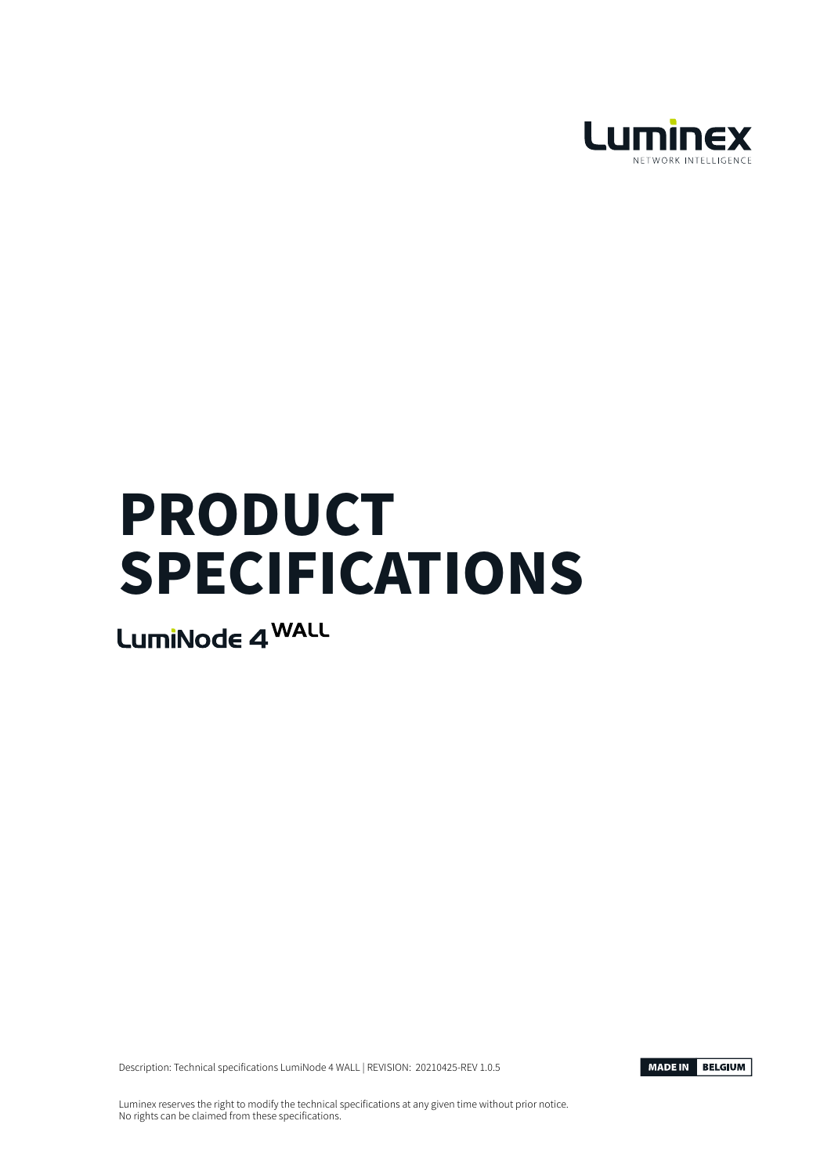

# PRODUCT SPECIFICATIONS

LumiNode 4 WALL

Description: Technical specifications LumiNode 4 WALL | REVISION: 20210425-REV 1.0.5



Luminex reserves the right to modify the technical specifications at any given time without prior notice. No rights can be claimed from these specifications.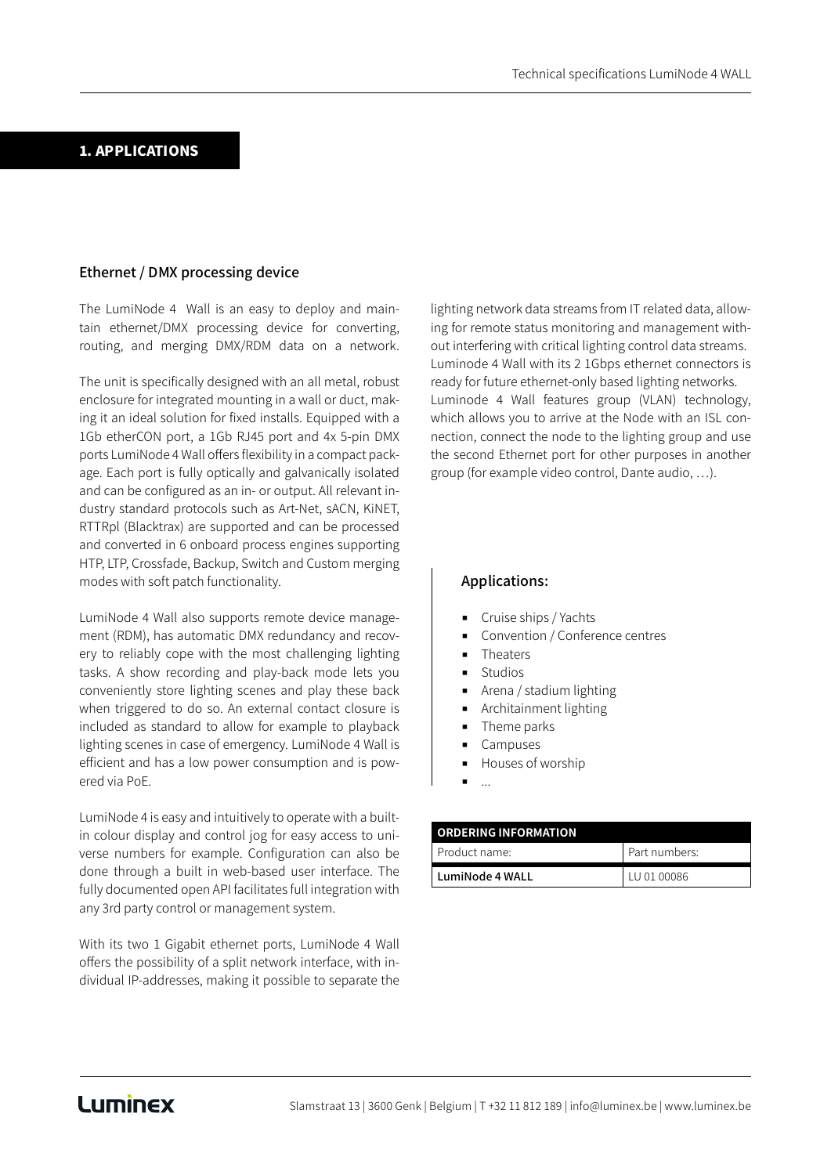#### 1. APPLICATIONS

#### Ethernet / DMX processing device

The LumiNode 4 Wall is an easy to deploy and maintain ethernet/DMX processing device for converting, routing, and merging DMX/RDM data on a network.

The unit is specifically designed with an all metal, robust enclosure for integrated mounting in a wall or duct, making it an ideal solution for fixed installs. Equipped with a 1Gb etherCON port, a 1Gb RJ45 port and 4x 5-pin DMX ports LumiNode 4 Wall offers flexibility in a compact package. Each port is fully optically and galvanically isolated and can be configured as an in- or output. All relevant industry standard protocols such as Art-Net, sACN, KiNET, RTTRpl (Blacktrax) are supported and can be processed and converted in 6 onboard process engines supporting HTP, LTP, Crossfade, Backup, Switch and Custom merging modes with soft patch functionality.

LumiNode 4 Wall also supports remote device management (RDM), has automatic DMX redundancy and recovery to reliably cope with the most challenging lighting tasks. A show recording and play-back mode lets you conveniently store lighting scenes and play these back when triggered to do so. An external contact closure is included as standard to allow for example to playback lighting scenes in case of emergency. LumiNode 4 Wall is efficient and has a low power consumption and is powered via PoE.

LumiNode 4 is easy and intuitively to operate with a builtin colour display and control jog for easy access to universe numbers for example. Configuration can also be done through a built in web-based user interface. The fully documented open API facilitates full integration with any 3rd party control or management system.

With its two 1 Gigabit ethernet ports, LumiNode 4 Wall offers the possibility of a split network interface, with individual IP-addresses, making it possible to separate the lighting network data streams from IT related data, allowing for remote status monitoring and management without interfering with critical lighting control data streams. Luminode 4 Wall with its 2 1Gbps ethernet connectors is ready for future ethernet-only based lighting networks. Luminode 4 Wall features group (VLAN) technology, which allows you to arrive at the Node with an ISL connection, connect the node to the lighting group and use the second Ethernet port for other purposes in another group (for example video control, Dante audio, …).

#### Applications:

- Cruise ships / Yachts
- Convention / Conference centres
- **Theaters**
- **Studios**
- Arena / stadium lighting
- Architainment lighting
- Theme parks
- Campuses
- Houses of worship
- ...

| <b>ORDERING INFORMATION</b> |               |
|-----------------------------|---------------|
| Product name:               | Part numbers: |
| LumiNode 4 WALL             | LU 01 00086   |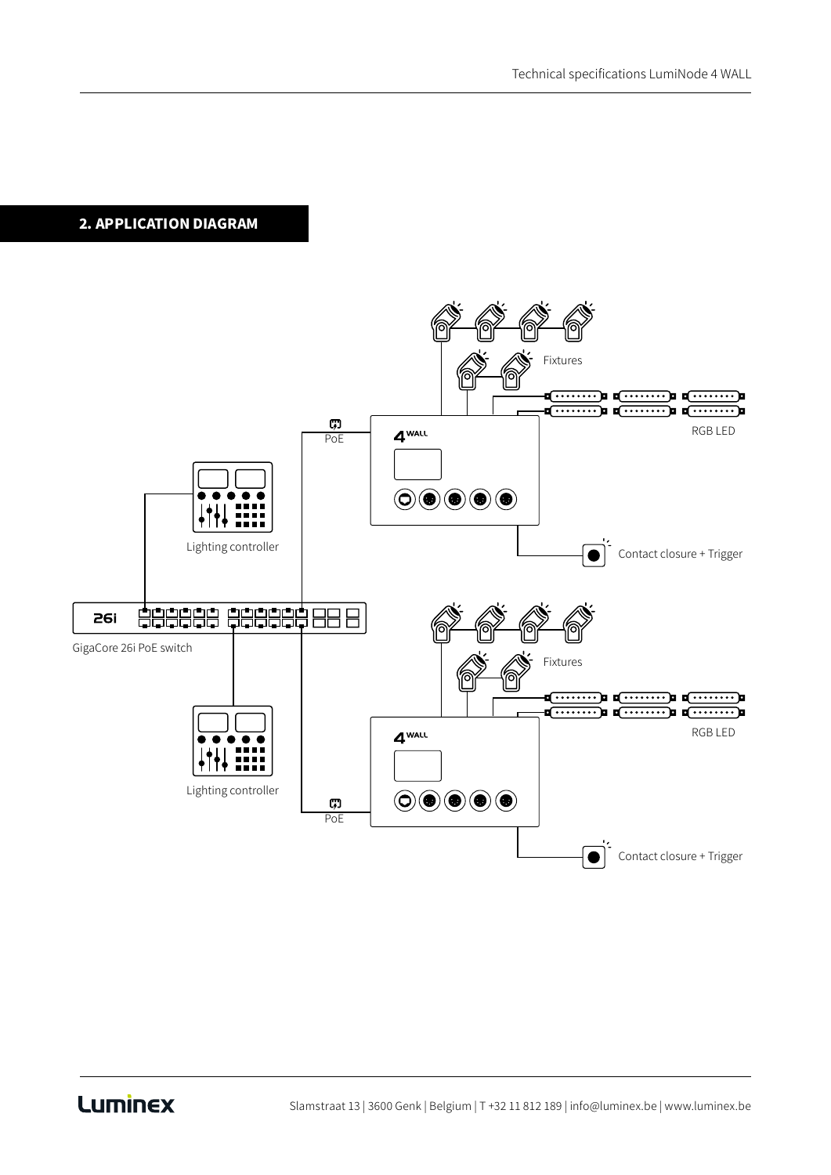## 2. APPLICATION DIAGRAM

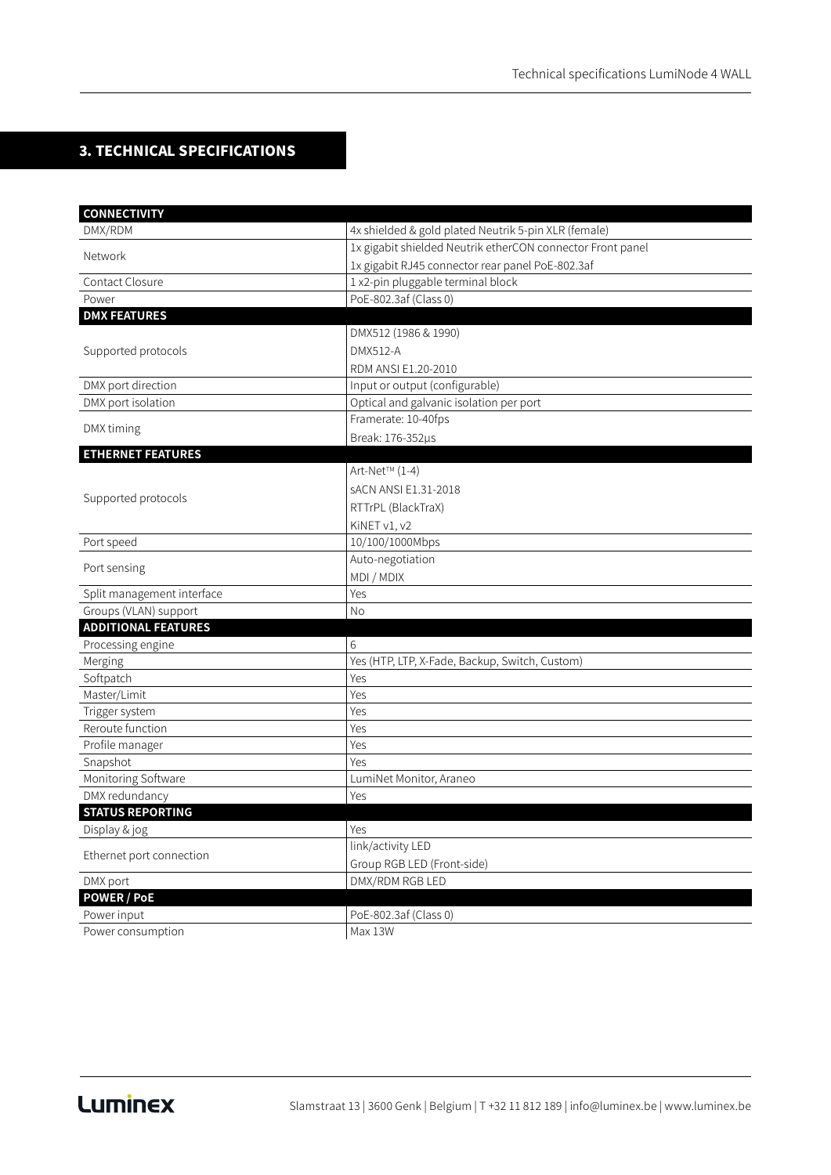### 3. TECHNICAL SPECIFICATIONS

| <b>CONNECTIVITY</b>        |                                                            |
|----------------------------|------------------------------------------------------------|
| DMX/RDM                    | 4x shielded & gold plated Neutrik 5-pin XLR (female)       |
| Network                    | 1x gigabit shielded Neutrik etherCON connector Front panel |
|                            | 1x gigabit RJ45 connector rear panel PoE-802.3af           |
| Contact Closure            | 1 x2-pin pluggable terminal block                          |
| Power                      | PoE-802.3af (Class 0)                                      |
| <b>DMX FEATURES</b>        |                                                            |
| Supported protocols        | DMX512 (1986 & 1990)                                       |
|                            | DMX512-A                                                   |
|                            | RDM ANSI E1.20-2010                                        |
| DMX port direction         | Input or output (configurable)                             |
| DMX port isolation         | Optical and galvanic isolation per port                    |
| DMX timing                 | Framerate: 10-40fps                                        |
|                            | Break: 176-352µs                                           |
| <b>ETHERNET FEATURES</b>   |                                                            |
|                            | Art-Net™ (1-4)                                             |
| Supported protocols        | <b>SACN ANSI E1.31-2018</b>                                |
|                            | RTTrPL (BlackTraX)                                         |
|                            | KiNET v1, v2                                               |
| Port speed                 | 10/100/1000Mbps                                            |
| Port sensing               | Auto-negotiation                                           |
|                            | MDI / MDIX                                                 |
| Split management interface | Yes                                                        |
| Groups (VLAN) support      | No                                                         |
| <b>ADDITIONAL FEATURES</b> |                                                            |
| Processing engine          | 6                                                          |
| Merging                    | Yes (HTP, LTP, X-Fade, Backup, Switch, Custom)             |
| Softpatch                  | Yes                                                        |
| Master/Limit               | Yes                                                        |
| Trigger system             | Yes                                                        |
| Reroute function           | Yes                                                        |
| Profile manager            | Yes                                                        |
| Snapshot                   | Yes                                                        |
| Monitoring Software        | LumiNet Monitor, Araneo                                    |
| DMX redundancy             | Yes                                                        |
| <b>STATUS REPORTING</b>    |                                                            |
| Display & jog              | Yes                                                        |
| Ethernet port connection   | link/activity LED                                          |
|                            | Group RGB LED (Front-side)                                 |
| DMX port                   | DMX/RDM RGB LED                                            |
| <b>POWER / PoE</b>         |                                                            |
| Power input                | PoE-802.3af (Class 0)                                      |
| Power consumption          | Max 13W                                                    |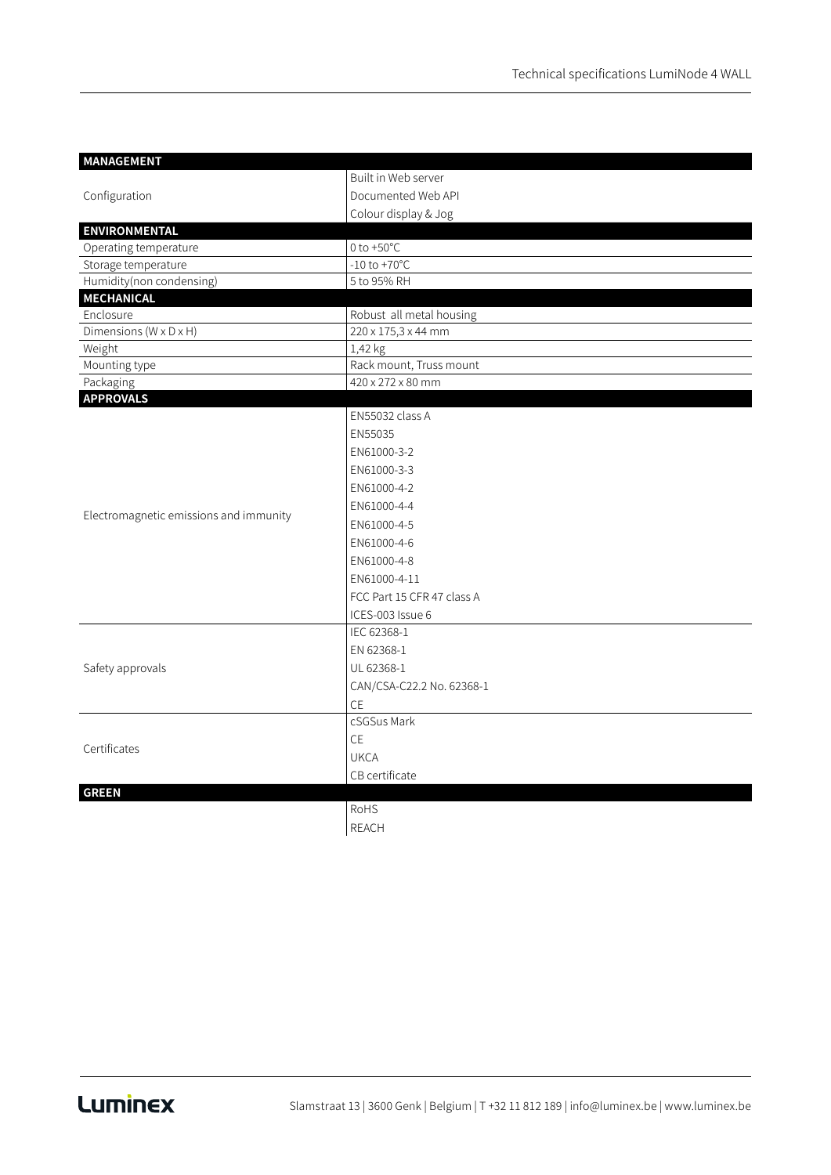| <b>MANAGEMENT</b>                      |                            |
|----------------------------------------|----------------------------|
|                                        | Built in Web server        |
| Configuration                          | Documented Web API         |
|                                        | Colour display & Jog       |
| <b>ENVIRONMENTAL</b>                   |                            |
| Operating temperature                  | 0 to $+50^{\circ}$ C       |
| Storage temperature                    | $-10$ to $+70^{\circ}$ C   |
| Humidity(non condensing)               | 5 to 95% RH                |
| <b>MECHANICAL</b>                      |                            |
| Enclosure                              | Robust all metal housing   |
| Dimensions (W x D x H)                 | 220 x 175,3 x 44 mm        |
| Weight                                 | 1,42 kg                    |
| Mounting type                          | Rack mount, Truss mount    |
| Packaging                              | 420 x 272 x 80 mm          |
| <b>APPROVALS</b>                       |                            |
| Electromagnetic emissions and immunity | EN55032 class A            |
|                                        | EN55035                    |
|                                        | EN61000-3-2                |
|                                        | EN61000-3-3                |
|                                        | EN61000-4-2                |
|                                        | EN61000-4-4                |
|                                        | EN61000-4-5                |
|                                        | EN61000-4-6                |
|                                        | EN61000-4-8                |
|                                        | EN61000-4-11               |
|                                        | FCC Part 15 CFR 47 class A |
|                                        | ICES-003 Issue 6           |
| Safety approvals                       | IEC 62368-1                |
|                                        | EN 62368-1                 |
|                                        | UL 62368-1                 |
|                                        | CAN/CSA-C22.2 No. 62368-1  |
|                                        | CE                         |
| Certificates                           | cSGSus Mark                |
|                                        | CE                         |
|                                        | <b>UKCA</b>                |
|                                        | CB certificate             |
| <b>GREEN</b>                           |                            |
|                                        | RoHS                       |
|                                        | <b>REACH</b>               |
|                                        |                            |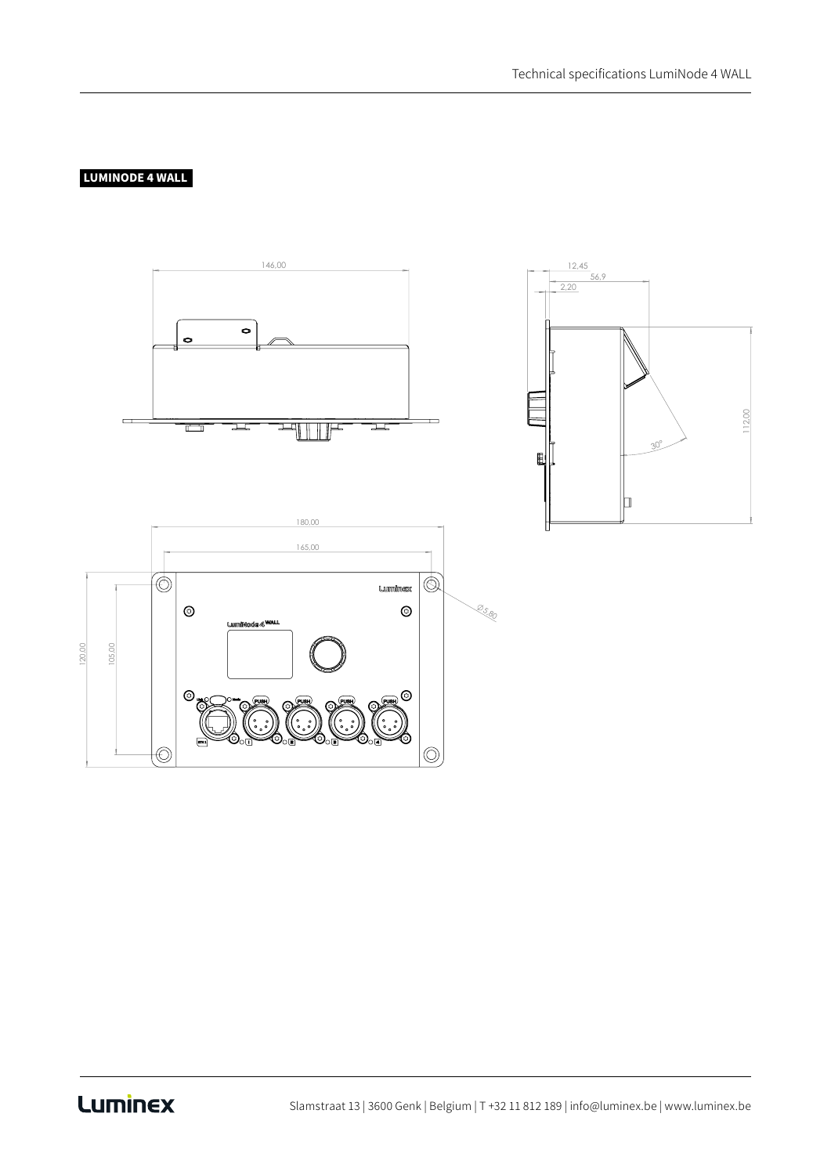### LUMINODE 4 WALL



# Luminex